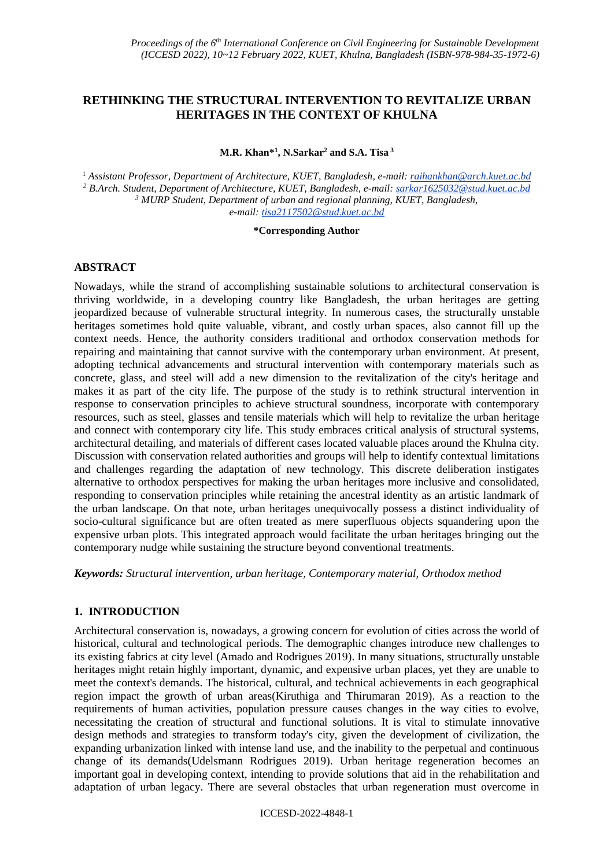# **RETHINKING THE STRUCTURAL INTERVENTION TO REVITALIZE URBAN HERITAGES IN THE CONTEXT OF KHULNA**

**M.R. Khan\* 1 , N.Sarkar <sup>2</sup> and S.A. Tisa <sup>3</sup>**

 *Assistant Professor, Department of Architecture, KUET, Bangladesh, e-mail: raihankhan@arch.kuet.ac.bd B.Arch. Student, Department of Architecture, KUET, Bangladesh, e-mail: sarkar1625032@stud.kuet.ac.bd MURP Student, Department of urban and regional planning, KUET, Bangladesh, e-mail: tisa2117502@stud.kuet.ac.bd*

#### **\*Corresponding Author**

## **ABSTRACT**

Nowadays, while the strand of accomplishing sustainable solutions to architectural conservation is thriving worldwide, in a developing country like Bangladesh, the urban heritages are getting jeopardized because of vulnerable structural integrity. In numerous cases, the structurally unstable heritages sometimes hold quite valuable, vibrant, and costly urban spaces, also cannot fill up the context needs. Hence, the authority considers traditional and orthodox conservation methods for repairing and maintaining that cannot survive with the contemporary urban environment. At present, adopting technical advancements and structural intervention with contemporary materials such as concrete, glass, and steel will add a new dimension to the revitalization of the city's heritage and makes it as part of the city life. The purpose of the study is to rethink structural intervention in response to conservation principles to achieve structural soundness, incorporate with contemporary resources, such as steel, glasses and tensile materials which will help to revitalize the urban heritage and connect with contemporary city life. This study embraces critical analysis of structural systems, architectural detailing, and materials of different cases located valuable places around the Khulna city. Discussion with conservation related authorities and groups will help to identify contextual limitations and challenges regarding the adaptation of new technology. This discrete deliberation instigates alternative to orthodox perspectives for making the urban heritages more inclusive and consolidated, responding to conservation principles while retaining the ancestral identity as an artistic landmark of the urban landscape. On that note, urban heritages unequivocally possess a distinct individuality of socio-cultural significance but are often treated as mere superfluous objects squandering upon the expensive urban plots. This integrated approach would facilitate the urban heritages bringing out the contemporary nudge while sustaining the structure beyond conventional treatments.

*Keywords: Structural intervention, urban heritage, Contemporary material, Orthodox method*

### **1. INTRODUCTION**

Architectural conservation is, nowadays, a growing concern for evolution of cities across the world of historical, cultural and technological periods. The demographic changes introduce new challenges to its existing fabrics at city level [\(Amado and Rodrigues 2019\)](#page-10-0). In many situations, structurally unstable heritages might retain highly important, dynamic, and expensive urban places, yet they are unable to meet the context's demands. The historical, cultural, and technical achievements in each geographical region impact the growth of urban areas[\(Kiruthiga and Thirumaran 2019\)](#page-11-0). As a reaction to the requirements of human activities, population pressure causes changes in the way cities to evolve, necessitating the creation of structural and functional solutions. It is vital to stimulate innovative design methods and strategies to transform today's city, given the development of civilization, the expanding urbanization linked with intense land use, and the inability to the perpetual and continuous change of its demands[\(Udelsmann Rodrigues 2019\)](#page-11-1). Urban heritage regeneration becomes an important goal in developing context, intending to provide solutions that aid in the rehabilitation and adaptation of urban legacy. There are several obstacles that urban regeneration must overcome in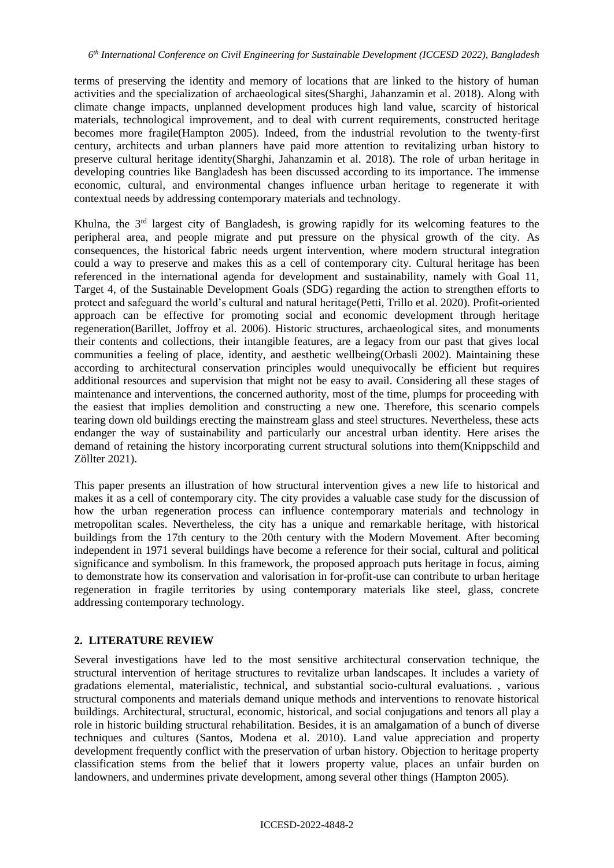terms of preserving the identity and memory of locations that are linked to the history of human activities and the specialization of archaeological sites[\(Sharghi, Jahanzamin et al. 2018\)](#page-11-2). Along with climate change impacts, unplanned development produces high land value, scarcity of historical materials, technological improvement, and to deal with current requirements, constructed heritage becomes more fragile[\(Hampton 2005\)](#page-10-1). Indeed, from the industrial revolution to the twenty-first century, architects and urban planners have paid more attention to revitalizing urban history to preserve cultural heritage identity[\(Sharghi, Jahanzamin et al. 2018\)](#page-11-2). The role of urban heritage in developing countries like Bangladesh has been discussed according to its importance. The immense economic, cultural, and environmental changes influence urban heritage to regenerate it with contextual needs by addressing contemporary materials and technology.

Khulna, the 3<sup>rd</sup> largest city of Bangladesh, is growing rapidly for its welcoming features to the peripheral area, and people migrate and put pressure on the physical growth of the city. As consequences, the historical fabric needs urgent intervention, where modern structural integration could a way to preserve and makes this as a cell of contemporary city. Cultural heritage has been referenced in the international agenda for development and sustainability, namely with Goal 11, Target 4, of the Sustainable Development Goals (SDG) regarding the action to strengthen efforts to protect and safeguard the world's cultural and natural heritage[\(Petti, Trillo et al. 2020\)](#page-11-3). Profit-oriented approach can be effective for promoting social and economic development through heritage regeneration[\(Barillet, Joffroy et al. 2006\)](#page-10-2). Historic structures, archaeological sites, and monuments their contents and collections, their intangible features, are a legacy from our past that gives local communities a feeling of place, identity, and aesthetic wellbeing[\(Orbasli 2002\)](#page-11-4). Maintaining these according to architectural conservation principles would unequivocally be efficient but requires additional resources and supervision that might not be easy to avail. Considering all these stages of maintenance and interventions, the concerned authority, most of the time, plumps for proceeding with the easiest that implies demolition and constructing a new one. Therefore, this scenario compels tearing down old buildings erecting the mainstream glass and steel structures. Nevertheless, these acts endanger the way of sustainability and particularly our ancestral urban identity. Here arises the demand of retaining the history incorporating current structural solutions into them[\(Knippschild and](#page-11-5)  [Zöllter 2021\)](#page-11-5).

This paper presents an illustration of how structural intervention gives a new life to historical and makes it as a cell of contemporary city. The city provides a valuable case study for the discussion of how the urban regeneration process can influence contemporary materials and technology in metropolitan scales. Nevertheless, the city has a unique and remarkable heritage, with historical buildings from the 17th century to the 20th century with the Modern Movement. After becoming independent in 1971 several buildings have become a reference for their social, cultural and political significance and symbolism. In this framework, the proposed approach puts heritage in focus, aiming to demonstrate how its conservation and valorisation in for-profit-use can contribute to urban heritage regeneration in fragile territories by using contemporary materials like steel, glass, concrete addressing contemporary technology.

### **2. LITERATURE REVIEW**

Several investigations have led to the most sensitive architectural conservation technique, the structural intervention of heritage structures to revitalize urban landscapes. It includes a variety of gradations elemental, materialistic, technical, and substantial socio-cultural evaluations. , various structural components and materials demand unique methods and interventions to renovate historical buildings. Architectural, structural, economic, historical, and social conjugations and tenors all play a role in historic building structural rehabilitation. Besides, it is an amalgamation of a bunch of diverse techniques and cultures [\(Santos, Modena et al. 2010\)](#page-11-6). Land value appreciation and property development frequently conflict with the preservation of urban history. Objection to heritage property classification stems from the belief that it lowers property value, places an unfair burden on landowners, and undermines private development, among several other things [\(Hampton 2005\)](#page-10-1).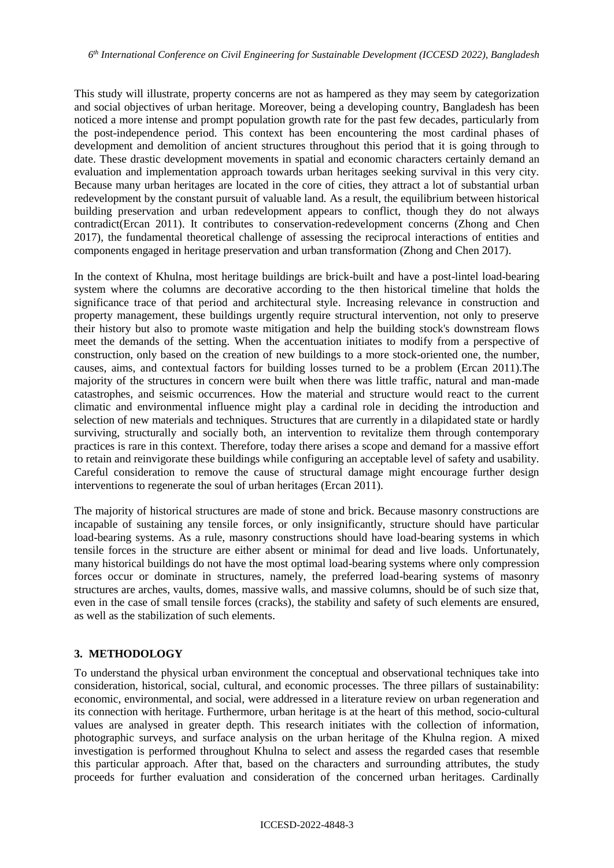This study will illustrate, property concerns are not as hampered as they may seem by categorization and social objectives of urban heritage. Moreover, being a developing country, Bangladesh has been noticed a more intense and prompt population growth rate for the past few decades, particularly from the post-independence period. This context has been encountering the most cardinal phases of development and demolition of ancient structures throughout this period that it is going through to date. These drastic development movements in spatial and economic characters certainly demand an evaluation and implementation approach towards urban heritages seeking survival in this very city. Because many urban heritages are located in the core of cities, they attract a lot of substantial urban redevelopment by the constant pursuit of valuable land. As a result, the equilibrium between historical building preservation and urban redevelopment appears to conflict, though they do not always contradict[\(Ercan 2011\)](#page-10-3). It contributes to conservation-redevelopment concerns [\(Zhong and Chen](#page-11-7)  [2017\)](#page-11-7), the fundamental theoretical challenge of assessing the reciprocal interactions of entities and components engaged in heritage preservation and urban transformation [\(Zhong and Chen 2017\)](#page-11-7).

In the context of Khulna, most heritage buildings are brick-built and have a post-lintel load-bearing system where the columns are decorative according to the then historical timeline that holds the significance trace of that period and architectural style. Increasing relevance in construction and property management, these buildings urgently require structural intervention, not only to preserve their history but also to promote waste mitigation and help the building stock's downstream flows meet the demands of the setting. When the accentuation initiates to modify from a perspective of construction, only based on the creation of new buildings to a more stock-oriented one, the number, causes, aims, and contextual factors for building losses turned to be a problem [\(Ercan 2011\)](#page-10-3).The majority of the structures in concern were built when there was little traffic, natural and man-made catastrophes, and seismic occurrences. How the material and structure would react to the current climatic and environmental influence might play a cardinal role in deciding the introduction and selection of new materials and techniques. Structures that are currently in a dilapidated state or hardly surviving, structurally and socially both, an intervention to revitalize them through contemporary practices is rare in this context. Therefore, today there arises a scope and demand for a massive effort to retain and reinvigorate these buildings while configuring an acceptable level of safety and usability. Careful consideration to remove the cause of structural damage might encourage further design interventions to regenerate the soul of urban heritages [\(Ercan 2011\)](#page-10-3).

The majority of historical structures are made of stone and brick. Because masonry constructions are incapable of sustaining any tensile forces, or only insignificantly, structure should have particular load-bearing systems. As a rule, masonry constructions should have load-bearing systems in which tensile forces in the structure are either absent or minimal for dead and live loads. Unfortunately, many historical buildings do not have the most optimal load-bearing systems where only compression forces occur or dominate in structures, namely, the preferred load-bearing systems of masonry structures are arches, vaults, domes, massive walls, and massive columns, should be of such size that, even in the case of small tensile forces (cracks), the stability and safety of such elements are ensured, as well as the stabilization of such elements.

### **3. METHODOLOGY**

To understand the physical urban environment the conceptual and observational techniques take into consideration, historical, social, cultural, and economic processes. The three pillars of sustainability: economic, environmental, and social, were addressed in a literature review on urban regeneration and its connection with heritage. Furthermore, urban heritage is at the heart of this method, socio-cultural values are analysed in greater depth. This research initiates with the collection of information, photographic surveys, and surface analysis on the urban heritage of the Khulna region. A mixed investigation is performed throughout Khulna to select and assess the regarded cases that resemble this particular approach. After that, based on the characters and surrounding attributes, the study proceeds for further evaluation and consideration of the concerned urban heritages. Cardinally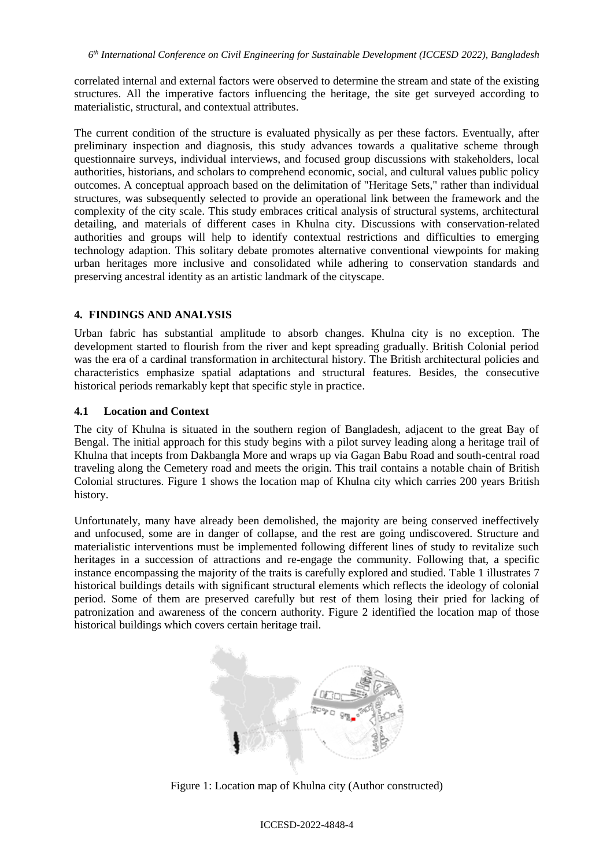correlated internal and external factors were observed to determine the stream and state of the existing structures. All the imperative factors influencing the heritage, the site get surveyed according to materialistic, structural, and contextual attributes.

The current condition of the structure is evaluated physically as per these factors. Eventually, after preliminary inspection and diagnosis, this study advances towards a qualitative scheme through questionnaire surveys, individual interviews, and focused group discussions with stakeholders, local authorities, historians, and scholars to comprehend economic, social, and cultural values public policy outcomes. A conceptual approach based on the delimitation of "Heritage Sets," rather than individual structures, was subsequently selected to provide an operational link between the framework and the complexity of the city scale. This study embraces critical analysis of structural systems, architectural detailing, and materials of different cases in Khulna city. Discussions with conservation-related authorities and groups will help to identify contextual restrictions and difficulties to emerging technology adaption. This solitary debate promotes alternative conventional viewpoints for making urban heritages more inclusive and consolidated while adhering to conservation standards and preserving ancestral identity as an artistic landmark of the cityscape.

#### **4. FINDINGS AND ANALYSIS**

Urban fabric has substantial amplitude to absorb changes. Khulna city is no exception. The development started to flourish from the river and kept spreading gradually. British Colonial period was the era of a cardinal transformation in architectural history. The British architectural policies and characteristics emphasize spatial adaptations and structural features. Besides, the consecutive historical periods remarkably kept that specific style in practice.

#### **4.1 Location and Context**

The city of Khulna is situated in the southern region of Bangladesh, adjacent to the great Bay of Bengal. The initial approach for this study begins with a pilot survey leading along a heritage trail of Khulna that incepts from Dakbangla More and wraps up via Gagan Babu Road and south-central road traveling along the Cemetery road and meets the origin. This trail contains a notable chain of British Colonial structures. Figure 1 shows the location map of Khulna city which carries 200 years British history.

Unfortunately, many have already been demolished, the majority are being conserved ineffectively and unfocused, some are in danger of collapse, and the rest are going undiscovered. Structure and materialistic interventions must be implemented following different lines of study to revitalize such heritages in a succession of attractions and re-engage the community. Following that, a specific instance encompassing the majority of the traits is carefully explored and studied. Table 1 illustrates 7 historical buildings details with significant structural elements which reflects the ideology of colonial period. Some of them are preserved carefully but rest of them losing their pried for lacking of patronization and awareness of the concern authority. Figure 2 identified the location map of those historical buildings which covers certain heritage trail.



Figure 1: Location map of Khulna city (Author constructed)

#### ICCESD-2022-4848-4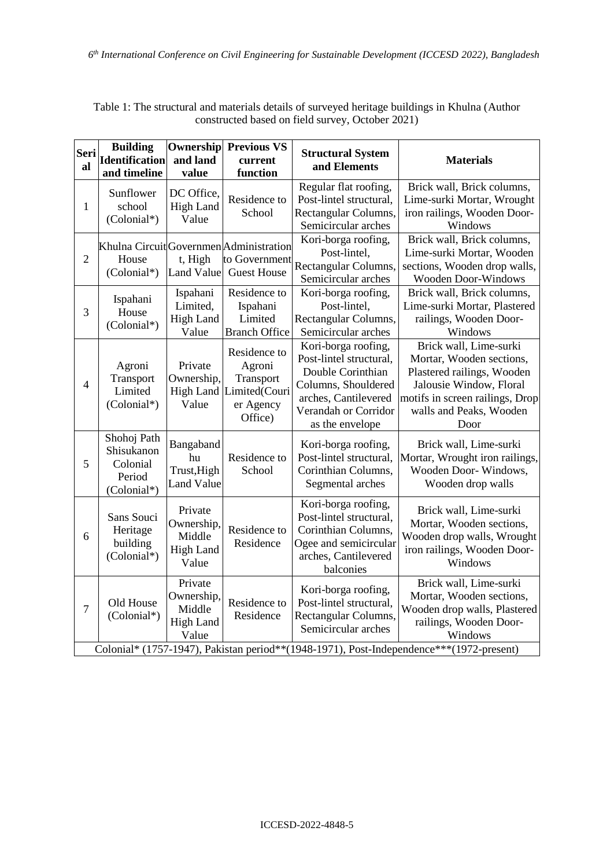| Seri<br>al     | <b>Building</b><br><b>Identification</b><br>and timeline       | Ownership<br>and land<br>value                               | <b>Previous VS</b><br>current<br>function                                              | <b>Structural System</b><br>and Elements                                                                                                                      | <b>Materials</b>                                                                                                                                                                                                   |
|----------------|----------------------------------------------------------------|--------------------------------------------------------------|----------------------------------------------------------------------------------------|---------------------------------------------------------------------------------------------------------------------------------------------------------------|--------------------------------------------------------------------------------------------------------------------------------------------------------------------------------------------------------------------|
| $\mathbf{1}$   | Sunflower<br>school<br>(Colonial*)                             | DC Office,<br><b>High Land</b><br>Value                      | Residence to<br>School                                                                 | Regular flat roofing,<br>Post-lintel structural,<br>Rectangular Columns,<br>Semicircular arches                                                               | Brick wall, Brick columns,<br>Lime-surki Mortar, Wrought<br>iron railings, Wooden Door-<br>Windows                                                                                                                 |
| $\overline{2}$ | House<br>(Colonial*)                                           | t, High<br><b>Land Value</b>                                 | Khulna Circuit Governmen Administration<br>to Government<br><b>Guest House</b>         | Kori-borga roofing,<br>Post-lintel,<br>Rectangular Columns,<br>Semicircular arches                                                                            | Brick wall, Brick columns,<br>Lime-surki Mortar, Wooden<br>sections, Wooden drop walls,<br><b>Wooden Door-Windows</b>                                                                                              |
| 3              | Ispahani<br>House<br>(Colonial*)                               | Ispahani<br>Limited,<br><b>High Land</b><br>Value            | Residence to<br>Ispahani<br>Limited<br><b>Branch Office</b>                            | Kori-borga roofing,<br>Post-lintel,<br>Rectangular Columns,<br>Semicircular arches                                                                            | Brick wall, Brick columns,<br>Lime-surki Mortar, Plastered<br>railings, Wooden Door-<br>Windows                                                                                                                    |
| $\overline{4}$ | Agroni<br>Transport<br>Limited<br>(Colonial*)                  | Private<br>Ownership,<br>Value                               | Residence to<br>Agroni<br>Transport<br>High Land Limited(Couri<br>er Agency<br>Office) | Kori-borga roofing,<br>Post-lintel structural,<br>Double Corinthian<br>Columns, Shouldered<br>arches, Cantilevered<br>Verandah or Corridor<br>as the envelope | Brick wall, Lime-surki<br>Mortar, Wooden sections,<br>Plastered railings, Wooden<br>Jalousie Window, Floral<br>motifs in screen railings, Drop<br>walls and Peaks, Wooden<br>Door                                  |
| 5              | Shohoj Path<br>Shisukanon<br>Colonial<br>Period<br>(Colonial*) | Bangaband<br>hu<br>Trust, High<br><b>Land Value</b>          | Residence to<br>School                                                                 | Kori-borga roofing,<br>Post-lintel structural,<br>Corinthian Columns,<br>Segmental arches                                                                     | Brick wall, Lime-surki<br>Mortar, Wrought iron railings,<br>Wooden Door-Windows,<br>Wooden drop walls                                                                                                              |
| 6              | Sans Souci<br>Heritage<br>building<br>(Colonial*)              | Private<br>Ownership,<br>Middle<br><b>High Land</b><br>Value | Residence to<br>Residence                                                              | Kori-borga roofing,<br>Post-lintel structural,<br>Corinthian Columns,<br>Ogee and semicircular<br>arches, Cantilevered<br>balconies                           | Brick wall, Lime-surki<br>Mortar, Wooden sections,<br>Wooden drop walls, Wrought<br>iron railings, Wooden Door-<br>Windows                                                                                         |
| $\overline{7}$ | Old House<br>(Colonial*)                                       | Private<br>Ownership,<br>Middle<br><b>High Land</b><br>Value | Residence to<br>Residence                                                              | Kori-borga roofing,<br>Post-lintel structural,<br>Rectangular Columns,<br>Semicircular arches                                                                 | Brick wall, Lime-surki<br>Mortar, Wooden sections,<br>Wooden drop walls, Plastered<br>railings, Wooden Door-<br>Windows<br>Colonial* (1757-1947), Pakistan period**(1948-1971), Post-Independence***(1972-present) |

Table 1: The structural and materials details of surveyed heritage buildings in Khulna (Author constructed based on field survey, October 2021)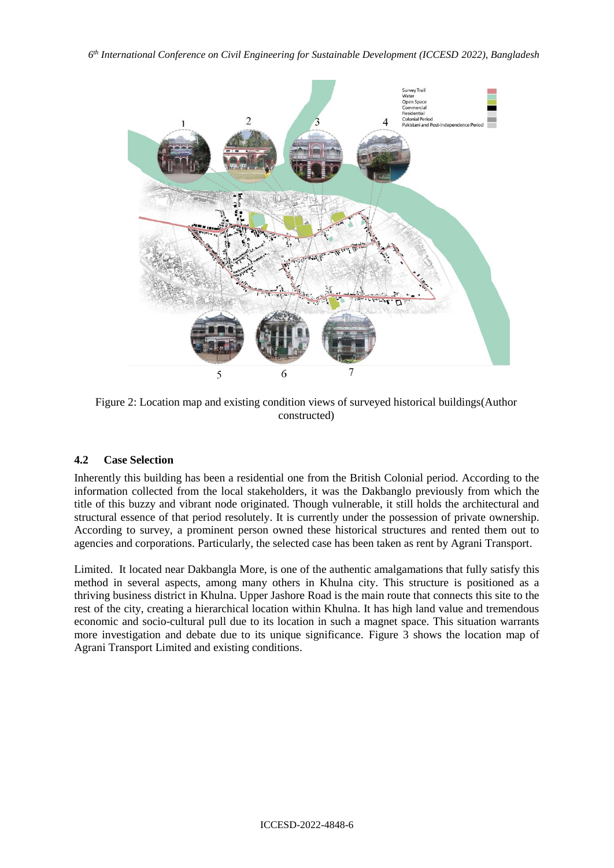*6 th International Conference on Civil Engineering for Sustainable Development (ICCESD 2022), Bangladesh*



Figure 2: Location map and existing condition views of surveyed historical buildings(Author constructed)

# **4.2 Case Selection**

Inherently this building has been a residential one from the British Colonial period. According to the information collected from the local stakeholders, it was the Dakbanglo previously from which the title of this buzzy and vibrant node originated. Though vulnerable, it still holds the architectural and structural essence of that period resolutely. It is currently under the possession of private ownership. According to survey, a prominent person owned these historical structures and rented them out to agencies and corporations. Particularly, the selected case has been taken as rent by Agrani Transport.

Limited. It located near Dakbangla More, is one of the authentic amalgamations that fully satisfy this method in several aspects, among many others in Khulna city. This structure is positioned as a thriving business district in Khulna. Upper Jashore Road is the main route that connects this site to the rest of the city, creating a hierarchical location within Khulna. It has high land value and tremendous economic and socio-cultural pull due to its location in such a magnet space. This situation warrants more investigation and debate due to its unique significance. Figure 3 shows the location map of Agrani Transport Limited and existing conditions.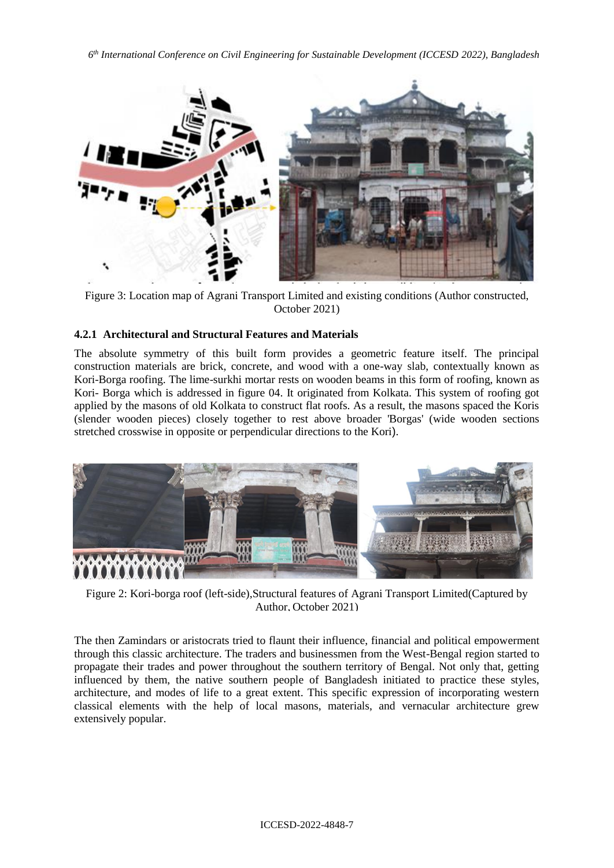*6 th International Conference on Civil Engineering for Sustainable Development (ICCESD 2022), Bangladesh*



Figure 3: Location map of Agrani Transport Limited and existing conditions (Author constructed, October 2021)

# **4.2.1 Architectural and Structural Features and Materials**

The absolute symmetry of this built form provides a geometric feature itself. The principal construction materials are brick, concrete, and wood with a one-way slab, contextually known as Kori-Borga roofing. The lime-surkhi mortar rests on wooden beams in this form of roofing, known as Kori- Borga which is addressed in figure 04. It originated from Kolkata. This system of roofing got applied by the masons of old Kolkata to construct flat roofs. As a result, the masons spaced the Koris (slender wooden pieces) closely together to rest above broader 'Borgas' (wide wooden sections stretched crosswise in opposite or perpendicular directions to the Kori).



Figure 2: Kori-borga roof (left-side),Structural features of Agrani Transport Limited(Captured by Author, October 2021)

The then Zamindars or aristocrats tried to flaunt their influence, financial and political empowerment through this classic architecture. The traders and businessmen from the West-Bengal region started to propagate their trades and power throughout the southern territory of Bengal. Not only that, getting influenced by them, the native southern people of Bangladesh initiated to practice these styles, architecture, and modes of life to a great extent. This specific expression of incorporating western classical elements with the help of local masons, materials, and vernacular architecture grew extensively popular.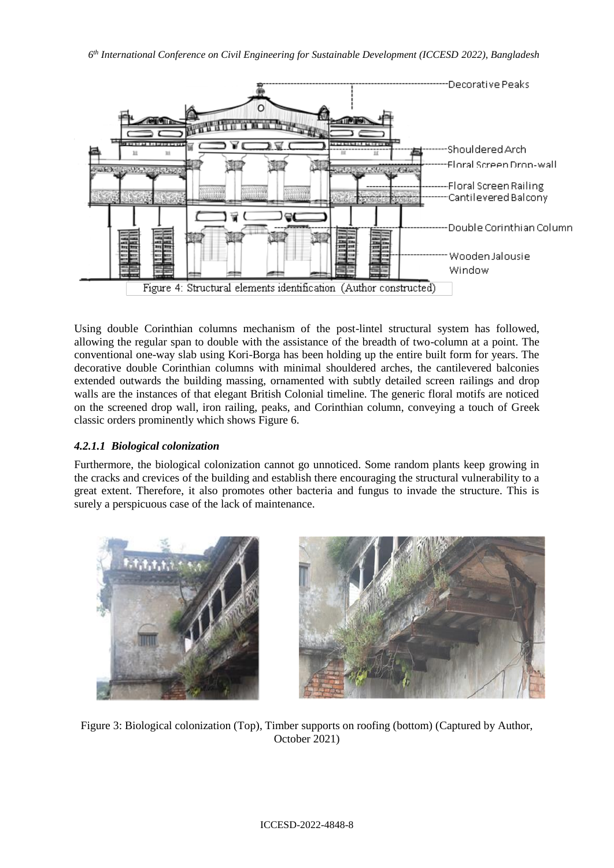

Figure 4: Structural elements identification (Author constructed)

Using double Corinthian columns mechanism of the post-lintel structural system has followed, allowing the regular span to double with the assistance of the breadth of two-column at a point. The conventional one-way slab using Kori-Borga has been holding up the entire built form for years. The decorative double Corinthian columns with minimal shouldered arches, the cantilevered balconies extended outwards the building massing, ornamented with subtly detailed screen railings and drop walls are the instances of that elegant British Colonial timeline. The generic floral motifs are noticed on the screened drop wall, iron railing, peaks, and Corinthian column, conveying a touch of Greek classic orders prominently which shows Figure 6.

# *4.2.1.1 Biological colonization*

Furthermore, the biological colonization cannot go unnoticed. Some random plants keep growing in the cracks and crevices of the building and establish there encouraging the structural vulnerability to a great extent. Therefore, it also promotes other bacteria and fungus to invade the structure. This is surely a perspicuous case of the lack of maintenance.



Figure 3: Biological colonization (Top), Timber supports on roofing (bottom) (Captured by Author, October 2021)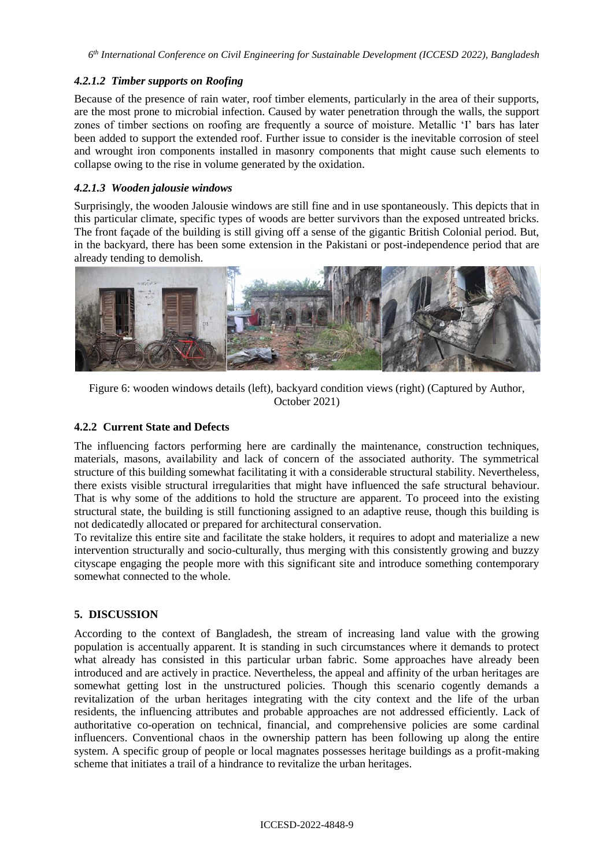*6 th International Conference on Civil Engineering for Sustainable Development (ICCESD 2022), Bangladesh*

## *4.2.1.2 Timber supports on Roofing*

Because of the presence of rain water, roof timber elements, particularly in the area of their supports, are the most prone to microbial infection. Caused by water penetration through the walls, the support zones of timber sections on roofing are frequently a source of moisture. Metallic 'I' bars has later been added to support the extended roof. Further issue to consider is the inevitable corrosion of steel and wrought iron components installed in masonry components that might cause such elements to collapse owing to the rise in volume generated by the oxidation.

# *4.2.1.3 Wooden jalousie windows*

Surprisingly, the wooden Jalousie windows are still fine and in use spontaneously. This depicts that in this particular climate, specific types of woods are better survivors than the exposed untreated bricks. The front façade of the building is still giving off a sense of the gigantic British Colonial period. But, in the backyard, there has been some extension in the Pakistani or post-independence period that are already tending to demolish.



Figure 6: wooden windows details (left), backyard condition views (right) (Captured by Author, October 2021)

## **4.2.2 Current State and Defects**

The influencing factors performing here are cardinally the maintenance, construction techniques, materials, masons, availability and lack of concern of the associated authority. The symmetrical structure of this building somewhat facilitating it with a considerable structural stability. Nevertheless, there exists visible structural irregularities that might have influenced the safe structural behaviour. That is why some of the additions to hold the structure are apparent. To proceed into the existing structural state, the building is still functioning assigned to an adaptive reuse, though this building is not dedicatedly allocated or prepared for architectural conservation.

To revitalize this entire site and facilitate the stake holders, it requires to adopt and materialize a new intervention structurally and socio-culturally, thus merging with this consistently growing and buzzy cityscape engaging the people more with this significant site and introduce something contemporary somewhat connected to the whole.

# **5. DISCUSSION**

According to the context of Bangladesh, the stream of increasing land value with the growing population is accentually apparent. It is standing in such circumstances where it demands to protect what already has consisted in this particular urban fabric. Some approaches have already been introduced and are actively in practice. Nevertheless, the appeal and affinity of the urban heritages are somewhat getting lost in the unstructured policies. Though this scenario cogently demands a revitalization of the urban heritages integrating with the city context and the life of the urban residents, the influencing attributes and probable approaches are not addressed efficiently. Lack of authoritative co-operation on technical, financial, and comprehensive policies are some cardinal influencers. Conventional chaos in the ownership pattern has been following up along the entire system. A specific group of people or local magnates possesses heritage buildings as a profit-making scheme that initiates a trail of a hindrance to revitalize the urban heritages.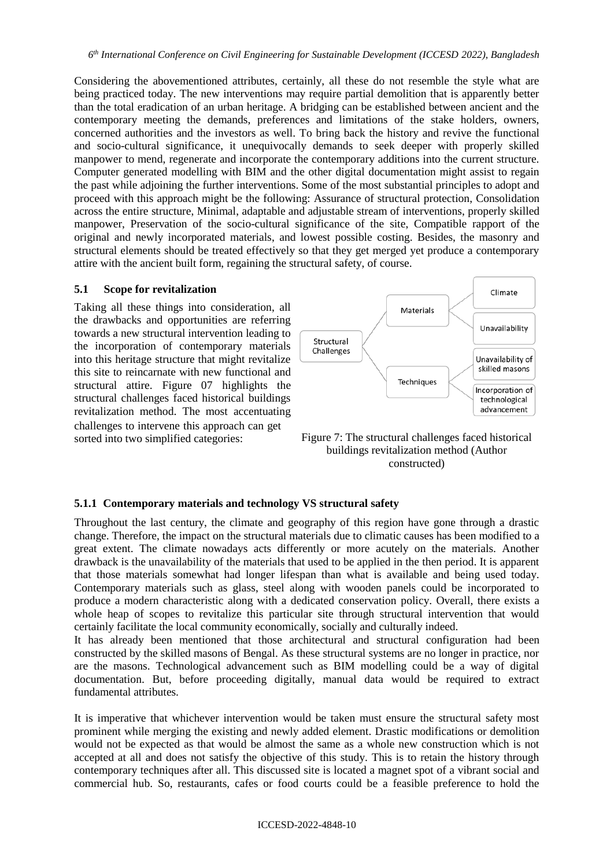Considering the abovementioned attributes, certainly, all these do not resemble the style what are being practiced today. The new interventions may require partial demolition that is apparently better than the total eradication of an urban heritage. A bridging can be established between ancient and the contemporary meeting the demands, preferences and limitations of the stake holders, owners, concerned authorities and the investors as well. To bring back the history and revive the functional and socio-cultural significance, it unequivocally demands to seek deeper with properly skilled manpower to mend, regenerate and incorporate the contemporary additions into the current structure. Computer generated modelling with BIM and the other digital documentation might assist to regain the past while adjoining the further interventions. Some of the most substantial principles to adopt and proceed with this approach might be the following: Assurance of structural protection, Consolidation across the entire structure, Minimal, adaptable and adjustable stream of interventions, properly skilled manpower, Preservation of the socio-cultural significance of the site, Compatible rapport of the original and newly incorporated materials, and lowest possible costing. Besides, the masonry and structural elements should be treated effectively so that they get merged yet produce a contemporary attire with the ancient built form, regaining the structural safety, of course.

#### **5.1 Scope for revitalization**

Taking all these things into consideration, all the drawbacks and opportunities are referring towards a new structural intervention leading to the incorporation of contemporary materials into this heritage structure that might revitalize this site to reincarnate with new functional and structural attire. Figure 07 highlights the structural challenges faced historical buildings revitalization method. The most accentuating challenges to intervene this approach can get sorted into two simplified categories:





### **5.1.1 Contemporary materials and technology VS structural safety**

Throughout the last century, the climate and geography of this region have gone through a drastic change. Therefore, the impact on the structural materials due to climatic causes has been modified to a great extent. The climate nowadays acts differently or more acutely on the materials. Another drawback is the unavailability of the materials that used to be applied in the then period. It is apparent that those materials somewhat had longer lifespan than what is available and being used today. Contemporary materials such as glass, steel along with wooden panels could be incorporated to produce a modern characteristic along with a dedicated conservation policy. Overall, there exists a whole heap of scopes to revitalize this particular site through structural intervention that would certainly facilitate the local community economically, socially and culturally indeed.

It has already been mentioned that those architectural and structural configuration had been constructed by the skilled masons of Bengal. As these structural systems are no longer in practice, nor are the masons. Technological advancement such as BIM modelling could be a way of digital documentation. But, before proceeding digitally, manual data would be required to extract fundamental attributes.

It is imperative that whichever intervention would be taken must ensure the structural safety most prominent while merging the existing and newly added element. Drastic modifications or demolition would not be expected as that would be almost the same as a whole new construction which is not accepted at all and does not satisfy the objective of this study. This is to retain the history through contemporary techniques after all. This discussed site is located a magnet spot of a vibrant social and commercial hub. So, restaurants, cafes or food courts could be a feasible preference to hold the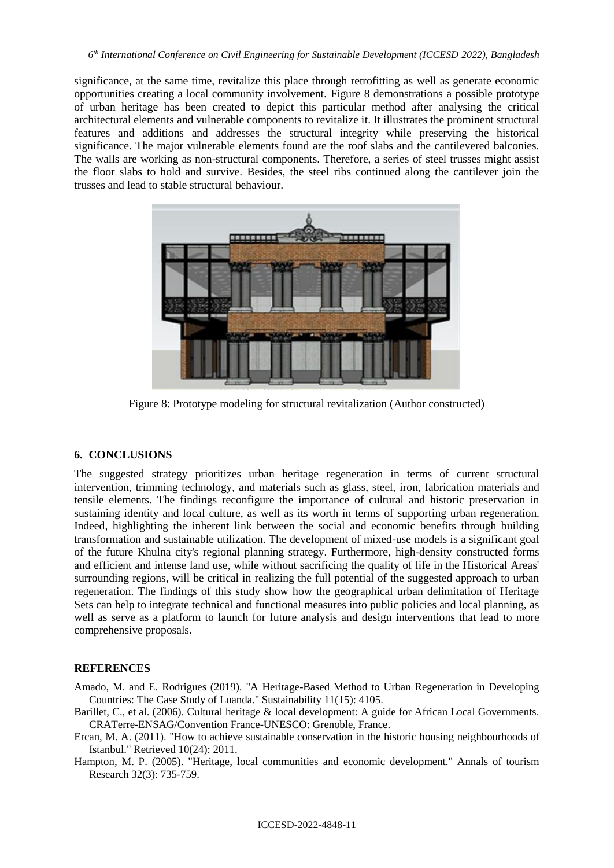significance, at the same time, revitalize this place through retrofitting as well as generate economic opportunities creating a local community involvement. Figure 8 demonstrations a possible prototype of urban heritage has been created to depict this particular method after analysing the critical architectural elements and vulnerable components to revitalize it. It illustrates the prominent structural features and additions and addresses the structural integrity while preserving the historical significance. The major vulnerable elements found are the roof slabs and the cantilevered balconies. The walls are working as non-structural components. Therefore, a series of steel trusses might assist the floor slabs to hold and survive. Besides, the steel ribs continued along the cantilever join the trusses and lead to stable structural behaviour.



Figure 8: Prototype modeling for structural revitalization (Author constructed)

# **6. CONCLUSIONS**

The suggested strategy prioritizes urban heritage regeneration in terms of current structural intervention, trimming technology, and materials such as glass, steel, iron, fabrication materials and tensile elements. The findings reconfigure the importance of cultural and historic preservation in sustaining identity and local culture, as well as its worth in terms of supporting urban regeneration. Indeed, highlighting the inherent link between the social and economic benefits through building transformation and sustainable utilization. The development of mixed-use models is a significant goal of the future Khulna city's regional planning strategy. Furthermore, high-density constructed forms and efficient and intense land use, while without sacrificing the quality of life in the Historical Areas' surrounding regions, will be critical in realizing the full potential of the suggested approach to urban regeneration. The findings of this study show how the geographical urban delimitation of Heritage Sets can help to integrate technical and functional measures into public policies and local planning, as well as serve as a platform to launch for future analysis and design interventions that lead to more comprehensive proposals.

# **REFERENCES**

- <span id="page-10-0"></span>Amado, M. and E. Rodrigues (2019). "A Heritage-Based Method to Urban Regeneration in Developing Countries: The Case Study of Luanda." Sustainability 11(15): 4105.
- <span id="page-10-2"></span>Barillet, C., et al. (2006). Cultural heritage & local development: A guide for African Local Governments. CRATerre-ENSAG/Convention France-UNESCO: Grenoble, France.
- <span id="page-10-3"></span>Ercan, M. A. (2011). "How to achieve sustainable conservation in the historic housing neighbourhoods of Istanbul." Retrieved 10(24): 2011.
- <span id="page-10-1"></span>Hampton, M. P. (2005). "Heritage, local communities and economic development." Annals of tourism Research 32(3): 735-759.